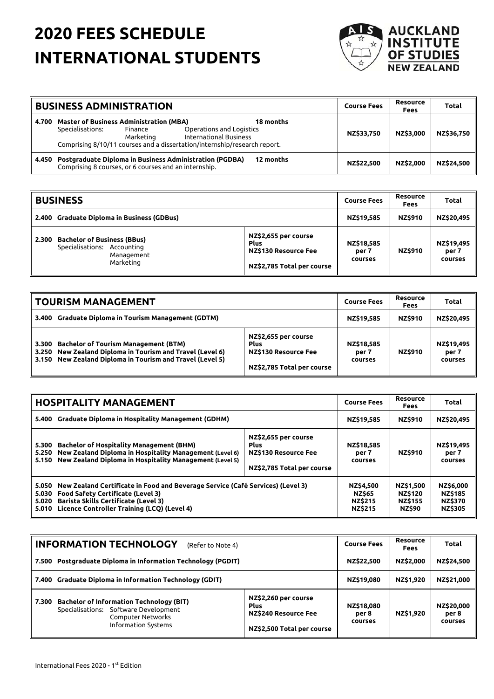## **2020 FEES SCHEDULE INTERNATIONAL STUDENTS**



|       | <b>BUSINESS ADMINISTRATION</b>                                                                                                                                                                                                                    | Course Fees | Resource<br>Fees | Total      |
|-------|---------------------------------------------------------------------------------------------------------------------------------------------------------------------------------------------------------------------------------------------------|-------------|------------------|------------|
| 4.700 | <b>Master of Business Administration (MBA)</b><br>18 months<br>Specialisations:<br>Operations and Logistics<br>Finance<br><b>International Business</b><br>Marketing<br>Comprising 8/10/11 courses and a dissertation/internship/research report. | NZ\$33.750  | NZ\$3,000        | NZ\$36,750 |
| 4.450 | <b>Postgraduate Diploma in Business Administration (PGDBA)</b><br>12 months<br>Comprising 8 courses, or 6 courses and an internship.                                                                                                              | NZ\$22.500  | NZ\$2,000        | NZ\$24.500 |

|          | <b>BUSINESS</b>                                                                              |                                                                                           |                                | Resource<br><b>Fees</b> | <b>Total</b>                   |
|----------|----------------------------------------------------------------------------------------------|-------------------------------------------------------------------------------------------|--------------------------------|-------------------------|--------------------------------|
| l 2.400  | <b>Graduate Diploma in Business (GDBus)</b>                                                  |                                                                                           | NZ\$19,585                     | <b>NZ\$910</b>          | NZ\$20.495                     |
| ll 2.300 | <b>Bachelor of Business (BBus)</b><br>Specialisations: Accounting<br>Management<br>Marketing | NZ\$2,655 per course<br><b>Plus</b><br>NZ\$130 Resource Fee<br>NZ\$2,785 Total per course | NZ\$18,585<br>per 7<br>courses | <b>NZ\$910</b>          | NZ\$19,495<br>per 7<br>courses |

| TOURISM MANAGEMENT                                                                                                                                                                         |                                                                                                  |                                | Resource<br>Fees | Total                                 |
|--------------------------------------------------------------------------------------------------------------------------------------------------------------------------------------------|--------------------------------------------------------------------------------------------------|--------------------------------|------------------|---------------------------------------|
| <b>Graduate Diploma in Tourism Management (GDTM)</b><br>ll 3.400                                                                                                                           |                                                                                                  |                                | <b>NZ\$910</b>   | NZ\$20.495                            |
| <b>Bachelor of Tourism Management (BTM)</b><br>3.300<br>New Zealand Diploma in Tourism and Travel (Level 6)<br>ll 3.250<br>New Zealand Diploma in Tourism and Travel (Level 5)<br>ll 3.150 | NZ\$2,655 per course<br><b>Plus</b><br><b>NZ\$130 Resource Fee</b><br>NZ\$2,785 Total per course | NZ\$18,585<br>per 7<br>courses | <b>NZ\$910</b>   | NZ\$19,495<br>per 7<br><b>COUFSES</b> |

|                                                                                                                                                                                                                                                              | <b>HOSPITALITY MANAGEMENT</b>                                                                                                                                                                                                                                                        |                                                                |                                                                       | <b>Resource</b><br><b>Fees</b>                                  | Total                          |
|--------------------------------------------------------------------------------------------------------------------------------------------------------------------------------------------------------------------------------------------------------------|--------------------------------------------------------------------------------------------------------------------------------------------------------------------------------------------------------------------------------------------------------------------------------------|----------------------------------------------------------------|-----------------------------------------------------------------------|-----------------------------------------------------------------|--------------------------------|
| <b>Graduate Diploma in Hospitality Management (GDHM)</b><br>5.400                                                                                                                                                                                            |                                                                                                                                                                                                                                                                                      | NZ\$19,585                                                     | <b>NZ\$910</b>                                                        | NZ\$20.495                                                      |                                |
| 5.250                                                                                                                                                                                                                                                        | NZ\$2,655 per course<br><b>Bachelor of Hospitality Management (BHM)</b><br><b>Plus</b><br>5.300<br>New Zealand Diploma in Hospitality Management (Level 6)<br>NZ\$130 Resource Fee<br>New Zealand Diploma in Hospitality Management (Level 5)<br>5.150<br>NZ\$2,785 Total per course |                                                                | NZ\$18,585<br>per 7<br>courses                                        | <b>NZ\$910</b>                                                  | NZ\$19,495<br>per 7<br>courses |
| New Zealand Certificate in Food and Beverage Service (Café Services) (Level 3)<br>5.050<br><b>Food Safety Certificate (Level 3)</b><br>5.030<br><b>Barista Skills Certificate (Level 3)</b><br>5.020<br>Licence Controller Training (LCO) (Level 4)<br>5.010 |                                                                                                                                                                                                                                                                                      | NZ\$4,500<br><b>NZ\$65</b><br><b>NZ\$215</b><br><b>NZ\$215</b> | <b>NZ\$1.500</b><br><b>NZ\$120</b><br><b>NZ\$155</b><br><b>NZ\$90</b> | NZ\$6,000<br><b>NZ\$185</b><br><b>NZ\$370</b><br><b>NZ\$305</b> |                                |

| <b>INFORMATION TECHNOLOGY</b><br>(Refer to Note 4)                     |                                                                                                                                      |                                                                                           | <b>Course Fees</b>             | <b>Resource</b><br><b>Fees</b> | Total                          |
|------------------------------------------------------------------------|--------------------------------------------------------------------------------------------------------------------------------------|-------------------------------------------------------------------------------------------|--------------------------------|--------------------------------|--------------------------------|
| <b>Postgraduate Diploma in Information Technology (PGDIT)</b><br>7.500 |                                                                                                                                      |                                                                                           | NZ\$22,500                     | NZ\$2,000                      | NZ\$24,500                     |
| 7.400 Graduate Diploma in Information Technology (GDIT)                |                                                                                                                                      |                                                                                           | NZ\$19,080                     | NZ\$1,920                      | NZ\$21,000                     |
| 7.300                                                                  | <b>Bachelor of Information Technology (BIT)</b><br>Specialisations: Software Development<br>Computer Networks<br>Information Systems | NZ\$2,260 per course<br><b>Plus</b><br>NZ\$240 Resource Fee<br>NZ\$2,500 Total per course | NZ\$18,080<br>per 8<br>courses | NZ\$1,920                      | NZ\$20,000<br>per 8<br>courses |